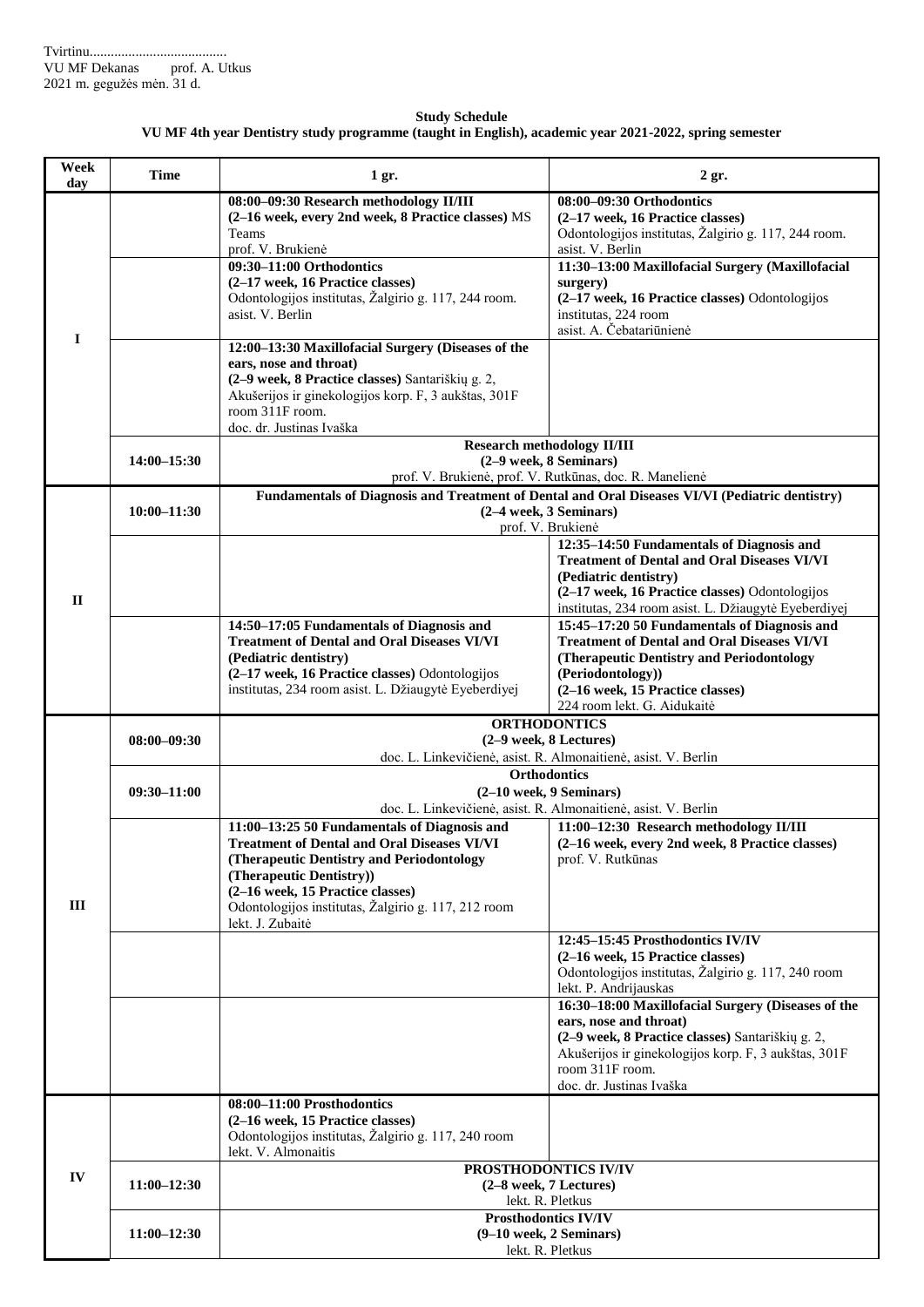## **Study Schedule VU MF 4th year Dentistry study programme (taught in English), academic year 2021-2022, spring semester**

| Week<br>day  | Time            | 1 gr.                                                                                                                                                                                                                                                                                      | $2$ gr.                                                                                                                                                                                                                                                                            |
|--------------|-----------------|--------------------------------------------------------------------------------------------------------------------------------------------------------------------------------------------------------------------------------------------------------------------------------------------|------------------------------------------------------------------------------------------------------------------------------------------------------------------------------------------------------------------------------------------------------------------------------------|
| $\mathbf I$  |                 | 08:00-09:30 Research methodology II/III<br>(2-16 week, every 2nd week, 8 Practice classes) MS<br>Teams<br>prof. V. Brukienė<br>09:30-11:00 Orthodontics<br>(2-17 week, 16 Practice classes)<br>Odontologijos institutas, Žalgirio g. 117, 244 room.<br>asist. V. Berlin                    | 08:00-09:30 Orthodontics<br>(2-17 week, 16 Practice classes)<br>Odontologijos institutas, Žalgirio g. 117, 244 room.<br>asist. V. Berlin<br>11:30-13:00 Maxillofacial Surgery (Maxillofacial<br>surgery)<br>(2-17 week, 16 Practice classes) Odontologijos<br>institutas, 224 room |
|              |                 | 12:00-13:30 Maxillofacial Surgery (Diseases of the<br>ears, nose and throat)<br>(2-9 week, 8 Practice classes) Santariškių g. 2,<br>Akušerijos ir ginekologijos korp. F, 3 aukštas, 301F<br>room 311F room.<br>doc. dr. Justinas Ivaška                                                    | asist. A. Čebatariūnienė                                                                                                                                                                                                                                                           |
|              | 14:00-15:30     | <b>Research methodology II/III</b><br>(2-9 week, 8 Seminars)<br>prof. V. Brukienė, prof. V. Rutkūnas, doc. R. Manelienė                                                                                                                                                                    |                                                                                                                                                                                                                                                                                    |
| $\mathbf{I}$ | $10:00 - 11:30$ | Fundamentals of Diagnosis and Treatment of Dental and Oral Diseases VI/VI (Pediatric dentistry)<br>(2-4 week, 3 Seminars)<br>prof. V. Brukienė                                                                                                                                             |                                                                                                                                                                                                                                                                                    |
|              |                 |                                                                                                                                                                                                                                                                                            | 12:35-14:50 Fundamentals of Diagnosis and<br><b>Treatment of Dental and Oral Diseases VI/VI</b><br>(Pediatric dentistry)<br>(2-17 week, 16 Practice classes) Odontologijos<br>institutas, 234 room asist. L. Džiaugytė Eyeberdiyej                                                 |
|              |                 | 14:50–17:05 Fundamentals of Diagnosis and<br><b>Treatment of Dental and Oral Diseases VI/VI</b><br>(Pediatric dentistry)<br>(2-17 week, 16 Practice classes) Odontologijos<br>institutas, 234 room asist. L. Džiaugytė Eyeberdiyej                                                         | 15:45-17:20 50 Fundamentals of Diagnosis and<br><b>Treatment of Dental and Oral Diseases VI/VI</b><br>(Therapeutic Dentistry and Periodontology<br>(Periodontology))<br>(2-16 week, 15 Practice classes)<br>224 room lekt. G. Aidukaitė                                            |
| III          | $08:00 - 09:30$ | <b>ORTHODONTICS</b><br>(2-9 week, 8 Lectures)<br>doc. L. Linkevičienė, asist. R. Almonaitienė, asist. V. Berlin                                                                                                                                                                            |                                                                                                                                                                                                                                                                                    |
|              | $09:30 - 11:00$ | <b>Orthodontics</b><br>(2-10 week, 9 Seminars)<br>doc. L. Linkevičienė, asist. R. Almonaitienė, asist. V. Berlin                                                                                                                                                                           |                                                                                                                                                                                                                                                                                    |
|              |                 | 11:00-13:25 50 Fundamentals of Diagnosis and<br><b>Treatment of Dental and Oral Diseases VI/VI</b><br>(Therapeutic Dentistry and Periodontology<br>(Therapeutic Dentistry))<br>(2-16 week, 15 Practice classes)<br>Odontologijos institutas, Žalgirio g. 117, 212 room<br>lekt. J. Zubaitė | 11:00-12:30 Research methodology II/III<br>(2–16 week, every 2nd week, 8 Practice classes)<br>prof. V. Rutkūnas                                                                                                                                                                    |
|              |                 |                                                                                                                                                                                                                                                                                            | 12:45-15:45 Prosthodontics IV/IV<br>(2-16 week, 15 Practice classes)<br>Odontologijos institutas, Žalgirio g. 117, 240 room<br>lekt. P. Andrijauskas                                                                                                                               |
|              |                 |                                                                                                                                                                                                                                                                                            | 16:30-18:00 Maxillofacial Surgery (Diseases of the<br>ears, nose and throat)<br>(2-9 week, 8 Practice classes) Santariškių g. 2,<br>Akušerijos ir ginekologijos korp. F, 3 aukštas, 301F<br>room 311F room.<br>doc. dr. Justinas Ivaška                                            |
| IV           |                 | 08:00-11:00 Prosthodontics<br>(2-16 week, 15 Practice classes)<br>Odontologijos institutas, Žalgirio g. 117, 240 room<br>lekt. V. Almonaitis                                                                                                                                               |                                                                                                                                                                                                                                                                                    |
|              | $11:00 - 12:30$ | PROSTHODONTICS IV/IV<br>(2-8 week, 7 Lectures)<br>lekt. R. Pletkus                                                                                                                                                                                                                         |                                                                                                                                                                                                                                                                                    |
|              | $11:00 - 12:30$ | <b>Prosthodontics IV/IV</b><br>$(9-10$ week, 2 Seminars)<br>lekt. R. Pletkus                                                                                                                                                                                                               |                                                                                                                                                                                                                                                                                    |